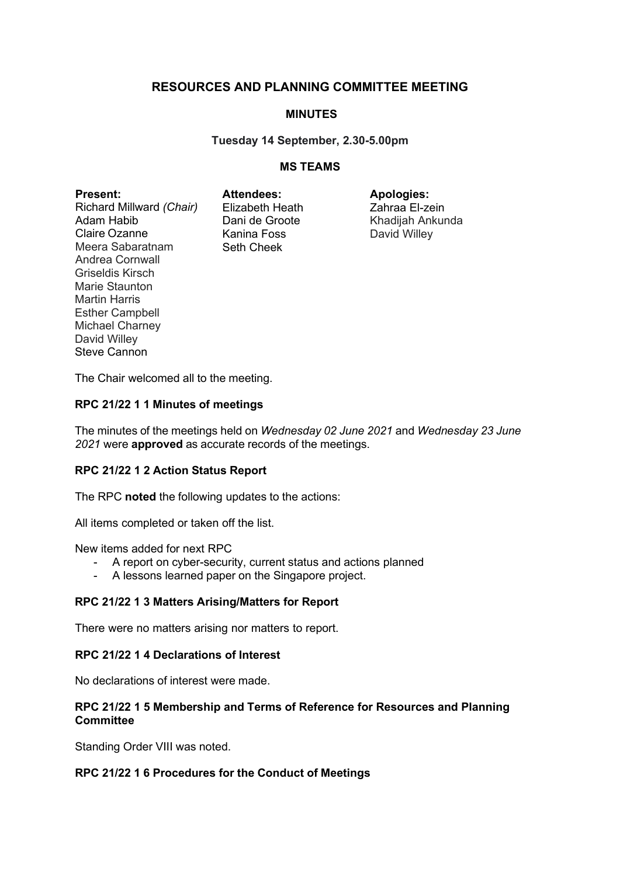# **RESOURCES AND PLANNING COMMITTEE MEETING**

## **MINUTES**

#### **Tuesday 14 September, 2.30-5.00pm**

#### **MS TEAMS**

**Present:** Richard Millward *(Chair)* Adam Habib Claire Ozanne Meera Sabaratnam Andrea Cornwall Griseldis Kirsch Marie Staunton Martin Harris Esther Campbell Michael Charney David Willey Steve Cannon

**Attendees:** Elizabeth Heath Dani de Groote Kanina Foss Seth Cheek

**Apologies:** Zahraa El-zein Khadijah Ankunda David Willey

The Chair welcomed all to the meeting.

#### **RPC 21/22 1 1 Minutes of meetings**

The minutes of the meetings held on *Wednesday 02 June 2021* and *Wednesday 23 June 2021* were **approved** as accurate records of the meetings.

#### **RPC 21/22 1 2 Action Status Report**

The RPC **noted** the following updates to the actions:

All items completed or taken off the list.

New items added for next RPC

- A report on cyber-security, current status and actions planned
- A lessons learned paper on the Singapore project.

#### **RPC 21/22 1 3 Matters Arising/Matters for Report**

There were no matters arising nor matters to report.

#### **RPC 21/22 1 4 Declarations of Interest**

No declarations of interest were made.

#### **RPC 21/22 1 5 Membership and Terms of Reference for Resources and Planning Committee**

Standing Order VIII was noted.

#### **RPC 21/22 1 6 Procedures for the Conduct of Meetings**